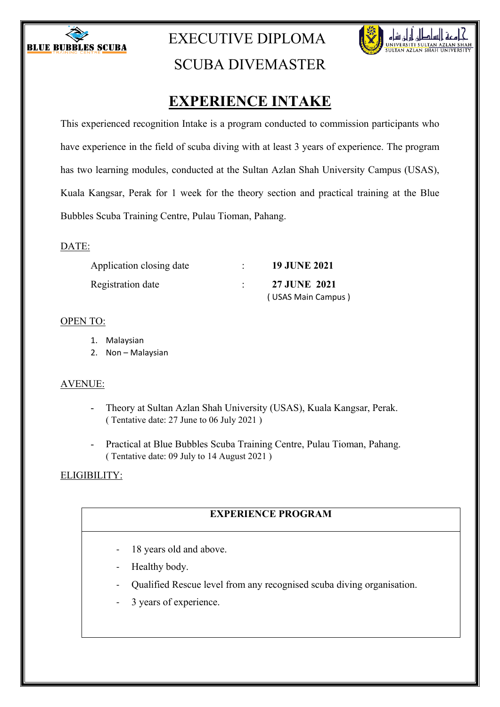

## EXECUTIVE DIPLOMA



# SCUBA DIVEMASTER

## **EXPERIENCE INTAKE**

This experienced recognition Intake is a program conducted to commission participants who have experience in the field of scuba diving with at least 3 years of experience. The program has two learning modules, conducted at the Sultan Azlan Shah University Campus (USAS), Kuala Kangsar, Perak for 1 week for the theory section and practical training at the Blue Bubbles Scuba Training Centre, Pulau Tioman, Pahang.

#### DATE:

| Application closing date | <b>19 JUNE 2021</b> |
|--------------------------|---------------------|
| Registration date        | <b>27 JUNE 2021</b> |
|                          | (USAS Main Campus)  |

### OPEN TO:

- 1. Malaysian
- 2. Non Malaysian

## AVENUE:

- Theory at Sultan Azlan Shah University (USAS), Kuala Kangsar, Perak. ( Tentative date: 27 June to 06 July 2021 )
- Practical at Blue Bubbles Scuba Training Centre, Pulau Tioman, Pahang. ( Tentative date: 09 July to 14 August 2021 )

## ELIGIBILITY:

## **EXPERIENCE PROGRAM**

- 18 years old and above.
- Healthy body.
- Qualified Rescue level from any recognised scuba diving organisation.
- 3 years of experience.